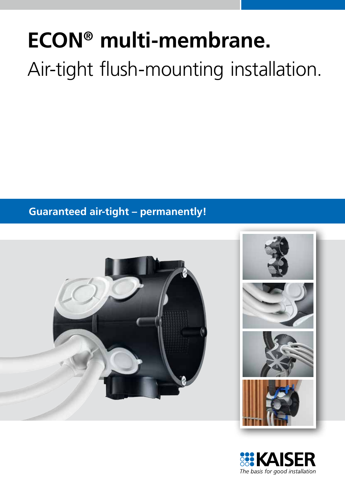## **ECON® multi-membrane.** Air-tight flush-mounting installation.

## **Guaranteed air-tight – permanently!**